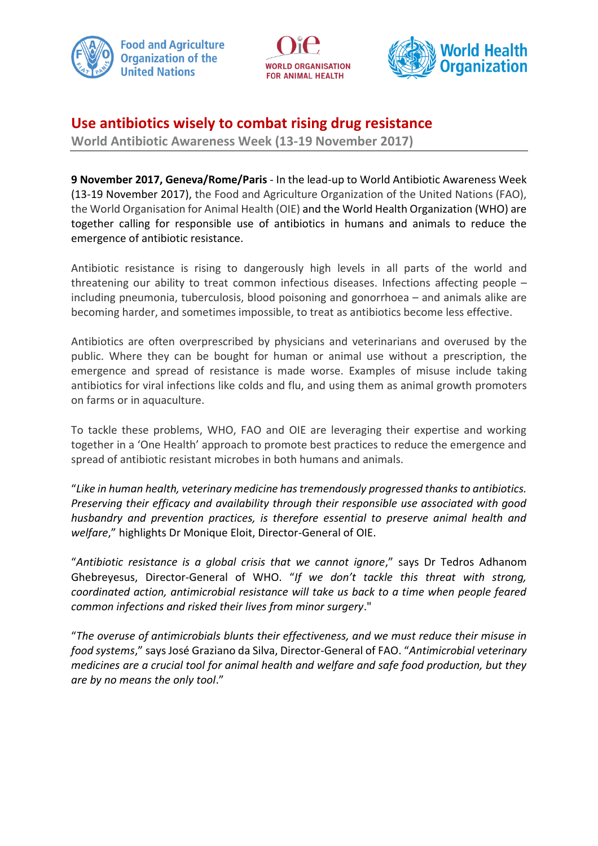





# **Use antibiotics wisely to combat rising drug resistance**

**World Antibiotic Awareness Week (13-19 November 2017)**

**9 November 2017, Geneva/Rome/Paris** - In the lead-up to World Antibiotic Awareness Week (13-19 November 2017), the Food and Agriculture Organization of the United Nations (FAO), the World Organisation for Animal Health (OIE) and the World Health Organization (WHO) are together calling for responsible use of antibiotics in humans and animals to reduce the emergence of antibiotic resistance.

Antibiotic resistance is rising to dangerously high levels in all parts of the world and threatening our ability to treat common infectious diseases. Infections affecting people – including pneumonia, tuberculosis, blood poisoning and gonorrhoea – and animals alike are becoming harder, and sometimes impossible, to treat as antibiotics become less effective.

Antibiotics are often overprescribed by physicians and veterinarians and overused by the public. Where they can be bought for human or animal use without a prescription, the emergence and spread of resistance is made worse. Examples of misuse include taking antibiotics for viral infections like colds and flu, and using them as animal growth promoters on farms or in aquaculture.

To tackle these problems, WHO, FAO and OIE are leveraging their expertise and working together in a 'One Health' approach to promote best practices to reduce the emergence and spread of antibiotic resistant microbes in both humans and animals.

"*Like in human health, veterinary medicine has tremendously progressed thanks to antibiotics. Preserving their efficacy and availability through their responsible use associated with good husbandry and prevention practices, is therefore essential to preserve animal health and welfare*," highlights Dr Monique Eloit, Director-General of OIE.

"*Antibiotic resistance is a global crisis that we cannot ignore*," says Dr Tedros Adhanom Ghebreyesus, Director-General of WHO. "*If we don't tackle this threat with strong, coordinated action, antimicrobial resistance will take us back to a time when people feared common infections and risked their lives from minor surgery*."

"*The overuse of antimicrobials blunts their effectiveness, and we must reduce their misuse in food systems*," says José Graziano da Silva, Director-General of FAO. "*Antimicrobial veterinary medicines are a crucial tool for animal health and welfare and safe food production, but they are by no means the only tool*."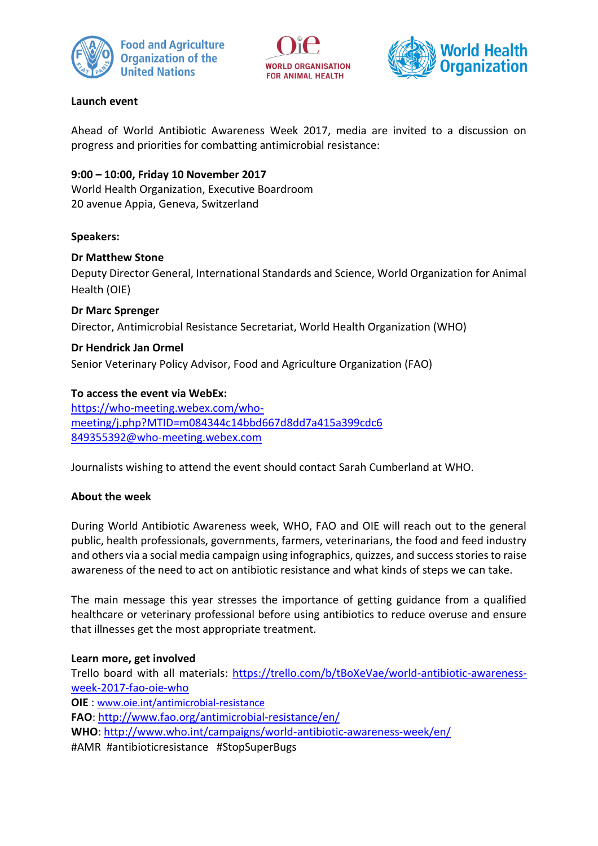





### **Launch event**

Ahead of World Antibiotic Awareness Week 2017, media are invited to a discussion on progress and priorities for combatting antimicrobial resistance:

### **9:00 – 10:00, Friday 10 November 2017**

World Health Organization, Executive Boardroom 20 avenue Appia, Geneva, Switzerland

### **Speakers:**

#### **Dr Matthew Stone**

Deputy Director General, International Standards and Science, World Organization for Animal Health (OIE)

**Dr Marc Sprenger** Director, Antimicrobial Resistance Secretariat, World Health Organization (WHO)

## **Dr Hendrick Jan Ormel**

Senior Veterinary Policy Advisor, Food and Agriculture Organization (FAO)

### **To access the event via WebEx:**

[https://who-meeting.webex.com/who](https://who-meeting.webex.com/who-meeting/j.php?MTID=m084344c14bbd667d8dd7a415a399cdc6)[meeting/j.php?MTID=m084344c14bbd667d8dd7a415a399cdc6](https://who-meeting.webex.com/who-meeting/j.php?MTID=m084344c14bbd667d8dd7a415a399cdc6) [849355392@who-meeting.webex.com](mailto:849355392@who-meeting.webex.com)

Journalists wishing to attend the event should contact Sarah Cumberland at WHO.

#### **About the week**

During World Antibiotic Awareness week, WHO, FAO and OIE will reach out to the general public, health professionals, governments, farmers, veterinarians, the food and feed industry and others via a social media campaign using infographics, quizzes, and success stories to raise awareness of the need to act on antibiotic resistance and what kinds of steps we can take.

The main message this year stresses the importance of getting guidance from a qualified healthcare or veterinary professional before using antibiotics to reduce overuse and ensure that illnesses get the most appropriate treatment.

## **Learn more, get involved**

Trello board with all materials: [https://trello.com/b/tBoXeVae/world-antibiotic-awareness](https://trello.com/b/tBoXeVae/world-antibiotic-awareness-week-2017-fao-oie-who)[week-2017-fao-oie-who](https://trello.com/b/tBoXeVae/world-antibiotic-awareness-week-2017-fao-oie-who) **OIE** : [www.oie.int/antimicrobial-resistance](http://www.oie.int/antimicrobial-resistance) **FAO**[: http://www.fao.org/antimicrobial-resistance/en/](http://www.fao.org/antimicrobial-resistance/en/) **WHO**: <http://www.who.int/campaigns/world-antibiotic-awareness-week/en/> #AMR #antibioticresistance #StopSuperBugs